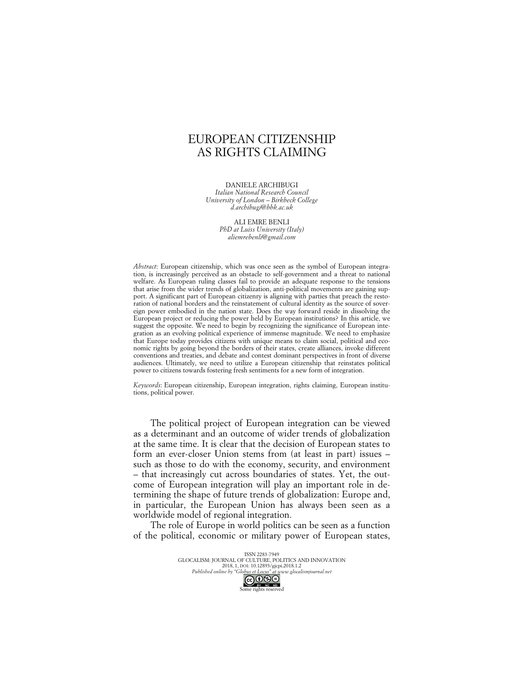## EUROPEAN CITIZENSHIP AS RIGHTS CLAIMING

DANIELE ARCHIBUGI *Italian National Research Council University of London – Birkbeck College d.archibugi@bbk.ac.uk*

> ALI EMRE BENLI *PhD at Luiss University (Italy) aliemrebenli@gmail.com*

*Abstract*: European citizenship, which was once seen as the symbol of European integration, is increasingly perceived as an obstacle to self-government and a threat to national welfare. As European ruling classes fail to provide an adequate response to the tensions that arise from the wider trends of globalization, anti-political movements are gaining support. A significant part of European citizenry is aligning with parties that preach the restoration of national borders and the reinstatement of cultural identity as the source of sovereign power embodied in the nation state. Does the way forward reside in dissolving the European project or reducing the power held by European institutions? In this article, we suggest the opposite. We need to begin by recognizing the significance of European integration as an evolving political experience of immense magnitude. We need to emphasize that Europe today provides citizens with unique means to claim social, political and economic rights by going beyond the borders of their states, create alliances, invoke different conventions and treaties, and debate and contest dominant perspectives in front of diverse audiences. Ultimately, we need to utilize a European citizenship that reinstates political power to citizens towards fostering fresh sentiments for a new form of integration.

*Keywords*: European citizenship, European integration, rights claiming, European institutions, political power.

The political project of European integration can be viewed as a determinant and an outcome of wider trends of globalization at the same time. It is clear that the decision of European states to form an ever-closer Union stems from (at least in part) issues – such as those to do with the economy, security, and environment – that increasingly cut across boundaries of states. Yet, the outcome of European integration will play an important role in determining the shape of future trends of globalization: Europe and, in particular, the European Union has always been seen as a worldwide model of regional integration.

The role of Europe in world politics can be seen as a function of the political, economic or military power of European states,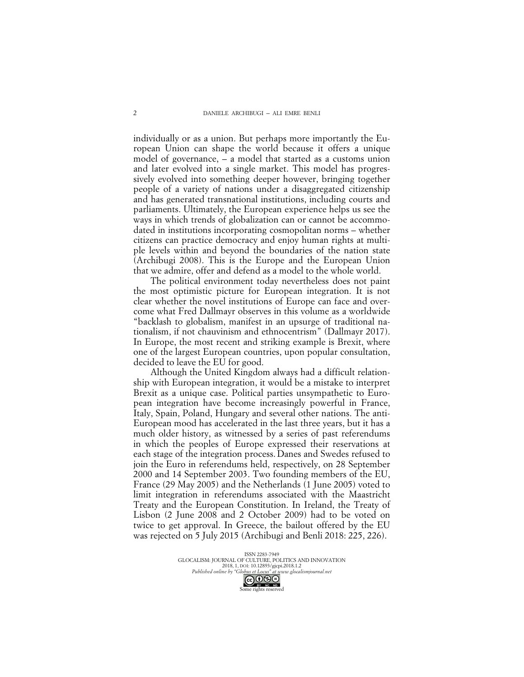individually or as a union. But perhaps more importantly the European Union can shape the world because it offers a unique model of governance, – a model that started as a customs union and later evolved into a single market. This model has progressively evolved into something deeper however, bringing together people of a variety of nations under a disaggregated citizenship and has generated transnational institutions, including courts and parliaments. Ultimately, the European experience helps us see the ways in which trends of globalization can or cannot be accommodated in institutions incorporating cosmopolitan norms – whether citizens can practice democracy and enjoy human rights at multiple levels within and beyond the boundaries of the nation state (Archibugi 2008). This is the Europe and the European Union that we admire, offer and defend as a model to the whole world.

The political environment today nevertheless does not paint the most optimistic picture for European integration. It is not clear whether the novel institutions of Europe can face and overcome what Fred Dallmayr observes in this volume as a worldwide "backlash to globalism, manifest in an upsurge of traditional nationalism, if not chauvinism and ethnocentrism" (Dallmayr 2017). In Europe, the most recent and striking example is Brexit, where one of the largest European countries, upon popular consultation, decided to leave the EU for good.

Although the United Kingdom always had a difficult relationship with European integration, it would be a mistake to interpret Brexit as a unique case. Political parties unsympathetic to European integration have become increasingly powerful in France, Italy, Spain, Poland, Hungary and several other nations. The anti-European mood has accelerated in the last three years, but it has a much older history, as witnessed by a series of past referendums in which the peoples of Europe expressed their reservations at each stage of the integration process.Danes and Swedes refused to join the Euro in referendums held, respectively, on 28 September 2000 and 14 September 2003. Two founding members of the EU, France (29 May 2005) and the Netherlands (1 June 2005) voted to limit integration in referendums associated with the Maastricht Treaty and the European Constitution. In Ireland, the Treaty of Lisbon (2 June 2008 and 2 October 2009) had to be voted on twice to get approval. In Greece, the bailout offered by the EU was rejected on 5 July 2015 (Archibugi and Benli 2018: 225, 226).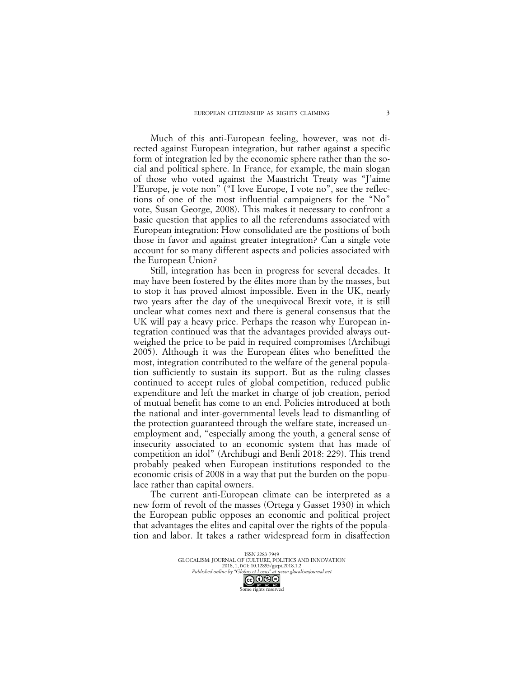Much of this anti-European feeling, however, was not directed against European integration, but rather against a specific form of integration led by the economic sphere rather than the social and political sphere. In France, for example, the main slogan of those who voted against the Maastricht Treaty was "J'aime l'Europe, je vote non" ("I love Europe, I vote no", see the reflections of one of the most influential campaigners for the "No" vote, Susan George, 2008). This makes it necessary to confront a basic question that applies to all the referendums associated with European integration: How consolidated are the positions of both those in favor and against greater integration? Can a single vote account for so many different aspects and policies associated with the European Union?

Still, integration has been in progress for several decades. It may have been fostered by the élites more than by the masses, but to stop it has proved almost impossible. Even in the UK, nearly two years after the day of the unequivocal Brexit vote, it is still unclear what comes next and there is general consensus that the UK will pay a heavy price. Perhaps the reason why European integration continued was that the advantages provided always outweighed the price to be paid in required compromises (Archibugi 2005). Although it was the European élites who benefitted the most, integration contributed to the welfare of the general population sufficiently to sustain its support. But as the ruling classes continued to accept rules of global competition, reduced public expenditure and left the market in charge of job creation, period of mutual benefit has come to an end. Policies introduced at both the national and inter-governmental levels lead to dismantling of the protection guaranteed through the welfare state, increased unemployment and, "especially among the youth, a general sense of insecurity associated to an economic system that has made of competition an idol" (Archibugi and Benli 2018: 229). This trend probably peaked when European institutions responded to the economic crisis of 2008 in a way that put the burden on the populace rather than capital owners.

The current anti-European climate can be interpreted as a new form of revolt of the masses (Ortega y Gasset 1930) in which the European public opposes an economic and political project that advantages the elites and capital over the rights of the population and labor. It takes a rather widespread form in disaffection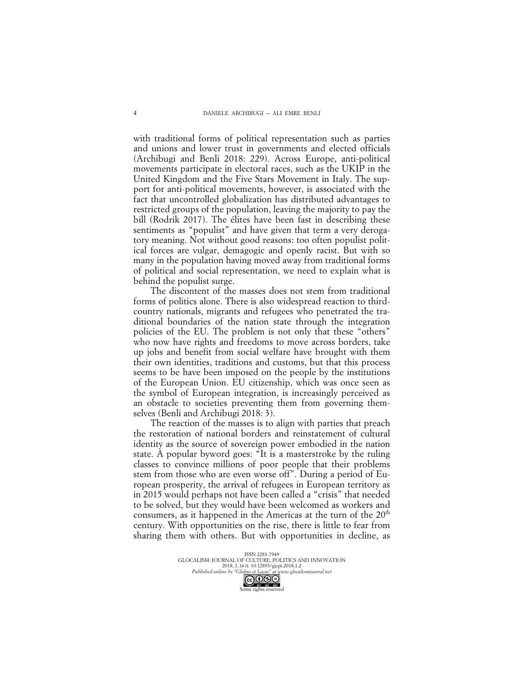with traditional forms of political representation such as parties and unions and lower trust in governments and elected officials (Archibugi and Benli 2018: 229). Across Europe, anti-political movements participate in electoral races, such as the UKIP in the United Kingdom and the Five Stars Movement in Italy. The support for anti-political movements, however, is associated with the fact that uncontrolled globalization has distributed advantages to restricted groups of the population, leaving the majority to pay the bill (Rodrik 2017). The élites have been fast in describing these sentiments as "populist" and have given that term a very derogatory meaning. Not without good reasons: too often populist political forces are vulgar, demagogic and openly racist. But with so many in the population having moved away from traditional forms of political and social representation, we need to explain what is behind the populist surge.

The discontent of the masses does not stem from traditional forms of politics alone. There is also widespread reaction to thirdcountry nationals, migrants and refugees who penetrated the traditional boundaries of the nation state through the integration policies of the EU. The problem is not only that these "others" who now have rights and freedoms to move across borders, take up jobs and benefit from social welfare have brought with them their own identities, traditions and customs, but that this process seems to be have been imposed on the people by the institutions of the European Union. EU citizenship, which was once seen as the symbol of European integration, is increasingly perceived as an obstacle to societies preventing them from governing themselves (Benli and Archibugi 2018: 3).

The reaction of the masses is to align with parties that preach the restoration of national borders and reinstatement of cultural identity as the source of sovereign power embodied in the nation state. A popular byword goes: "It is a masterstroke by the ruling classes to convince millions of poor people that their problems stem from those who are even worse off". During a period of European prosperity, the arrival of refugees in European territory as in 2015 would perhaps not have been called a "crisis" that needed to be solved, but they would have been welcomed as workers and consumers, as it happened in the Americas at the turn of the  $20<sup>th</sup>$ century. With opportunities on the rise, there is little to fear from sharing them with others. But with opportunities in decline, as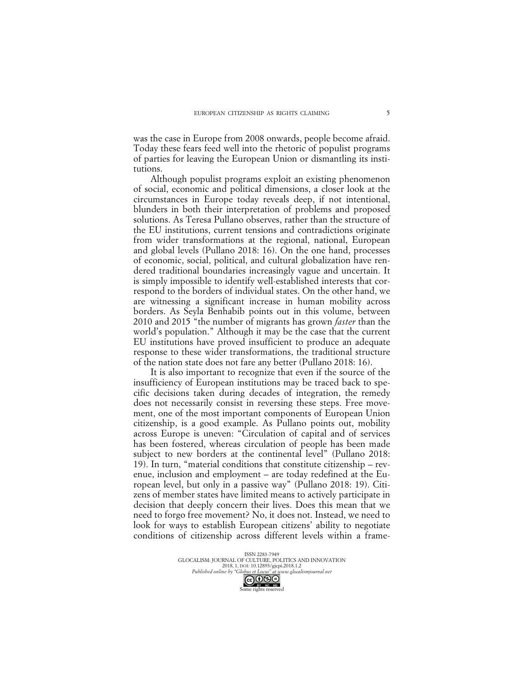was the case in Europe from 2008 onwards, people become afraid. Today these fears feed well into the rhetoric of populist programs of parties for leaving the European Union or dismantling its institutions.

Although populist programs exploit an existing phenomenon of social, economic and political dimensions, a closer look at the circumstances in Europe today reveals deep, if not intentional, blunders in both their interpretation of problems and proposed solutions. As Teresa Pullano observes, rather than the structure of the EU institutions, current tensions and contradictions originate from wider transformations at the regional, national, European and global levels (Pullano 2018: 16). On the one hand, processes of economic, social, political, and cultural globalization have rendered traditional boundaries increasingly vague and uncertain. It is simply impossible to identify well-established interests that correspond to the borders of individual states. On the other hand, we are witnessing a significant increase in human mobility across borders. As Seyla Benhabib points out in this volume, between 2010 and 2015 "the number of migrants has grown *faster* than the world's population." Although it may be the case that the current EU institutions have proved insufficient to produce an adequate response to these wider transformations, the traditional structure of the nation state does not fare any better (Pullano 2018: 16).

It is also important to recognize that even if the source of the insufficiency of European institutions may be traced back to specific decisions taken during decades of integration, the remedy does not necessarily consist in reversing these steps. Free movement, one of the most important components of European Union citizenship, is a good example. As Pullano points out, mobility across Europe is uneven: "Circulation of capital and of services has been fostered, whereas circulation of people has been made subject to new borders at the continental level" (Pullano 2018: 19). In turn, "material conditions that constitute citizenship – revenue, inclusion and employment – are today redefined at the European level, but only in a passive way" (Pullano 2018: 19). Citizens of member states have limited means to actively participate in decision that deeply concern their lives. Does this mean that we need to forgo free movement? No, it does not. Instead, we need to look for ways to establish European citizens' ability to negotiate conditions of citizenship across different levels within a frame-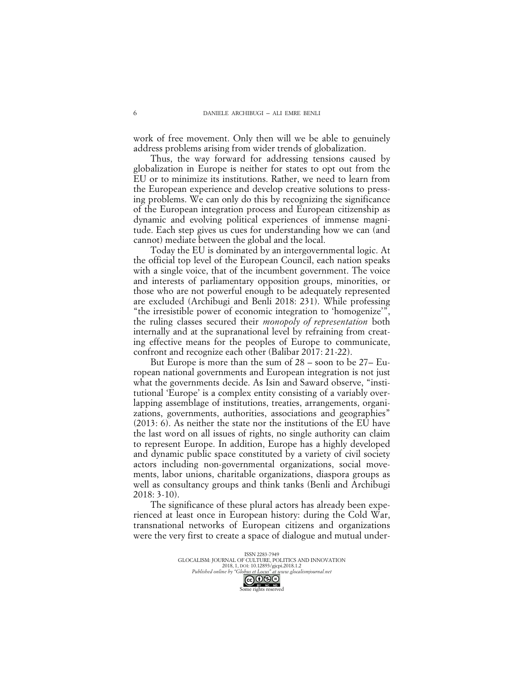work of free movement. Only then will we be able to genuinely address problems arising from wider trends of globalization.

Thus, the way forward for addressing tensions caused by globalization in Europe is neither for states to opt out from the EU or to minimize its institutions. Rather, we need to learn from the European experience and develop creative solutions to pressing problems. We can only do this by recognizing the significance of the European integration process and European citizenship as dynamic and evolving political experiences of immense magnitude. Each step gives us cues for understanding how we can (and cannot) mediate between the global and the local.

Today the EU is dominated by an intergovernmental logic. At the official top level of the European Council, each nation speaks with a single voice, that of the incumbent government. The voice and interests of parliamentary opposition groups, minorities, or those who are not powerful enough to be adequately represented are excluded (Archibugi and Benli 2018: 231). While professing "the irresistible power of economic integration to 'homogenize'", the ruling classes secured their *monopoly of representation* both internally and at the supranational level by refraining from creating effective means for the peoples of Europe to communicate, confront and recognize each other (Balibar 2017: 21-22).

But Europe is more than the sum of 28 – soon to be 27– European national governments and European integration is not just what the governments decide. As Isin and Saward observe, "institutional 'Europe' is a complex entity consisting of a variably overlapping assemblage of institutions, treaties, arrangements, organizations, governments, authorities, associations and geographies" (2013: 6). As neither the state nor the institutions of the EU have the last word on all issues of rights, no single authority can claim to represent Europe. In addition, Europe has a highly developed and dynamic public space constituted by a variety of civil society actors including non-governmental organizations, social movements, labor unions, charitable organizations, diaspora groups as well as consultancy groups and think tanks (Benli and Archibugi 2018: 3-10).

The significance of these plural actors has already been experienced at least once in European history: during the Cold War, transnational networks of European citizens and organizations were the very first to create a space of dialogue and mutual under-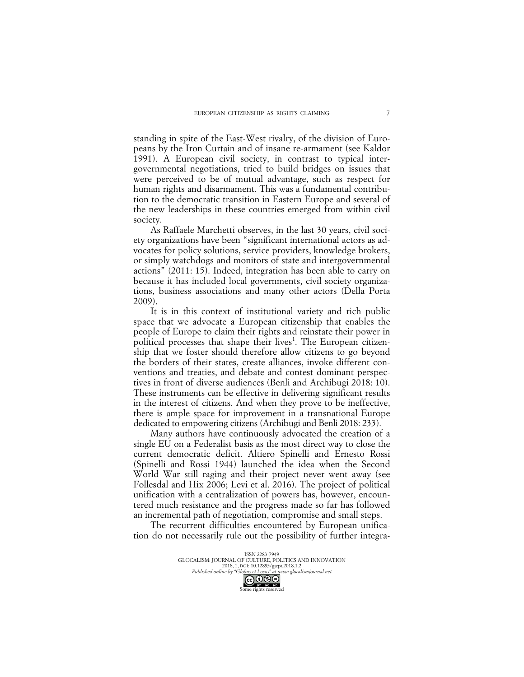standing in spite of the East-West rivalry, of the division of Europeans by the Iron Curtain and of insane re-armament (see Kaldor 1991). A European civil society, in contrast to typical intergovernmental negotiations, tried to build bridges on issues that were perceived to be of mutual advantage, such as respect for human rights and disarmament. This was a fundamental contribution to the democratic transition in Eastern Europe and several of the new leaderships in these countries emerged from within civil society.

As Raffaele Marchetti observes, in the last 30 years, civil society organizations have been "significant international actors as advocates for policy solutions, service providers, knowledge brokers, or simply watchdogs and monitors of state and intergovernmental actions" (2011: 15). Indeed, integration has been able to carry on because it has included local governments, civil society organizations, business associations and many other actors (Della Porta 2009).

It is in this context of institutional variety and rich public space that we advocate a European citizenship that enables the people of Europe to claim their rights and reinstate their power in political processes that shape their lives<sup>1</sup>. The European citizenship that we foster should therefore allow citizens to go beyond the borders of their states, create alliances, invoke different conventions and treaties, and debate and contest dominant perspectives in front of diverse audiences (Benli and Archibugi 2018: 10). These instruments can be effective in delivering significant results in the interest of citizens. And when they prove to be ineffective, there is ample space for improvement in a transnational Europe dedicated to empowering citizens (Archibugi and Benli 2018: 233).

Many authors have continuously advocated the creation of a single EU on a Federalist basis as the most direct way to close the current democratic deficit. Altiero Spinelli and Ernesto Rossi (Spinelli and Rossi 1944) launched the idea when the Second World War still raging and their project never went away (see Follesdal and Hix 2006; Levi et al. 2016). The project of political unification with a centralization of powers has, however, encountered much resistance and the progress made so far has followed an incremental path of negotiation, compromise and small steps.

The recurrent difficulties encountered by European unification do not necessarily rule out the possibility of further integra-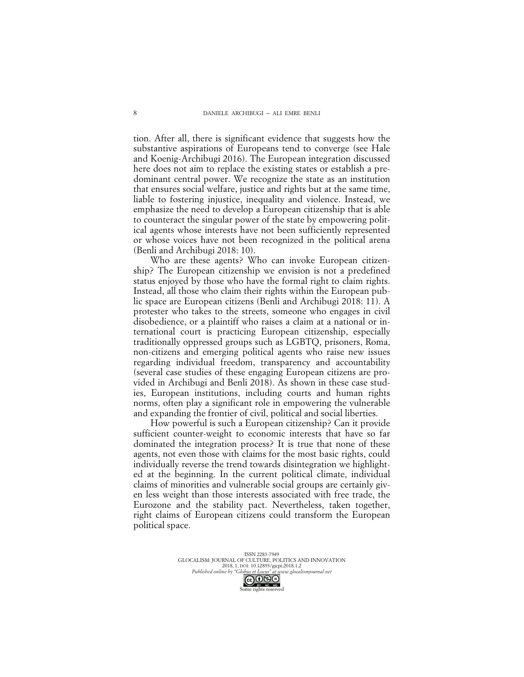tion. After all, there is significant evidence that suggests how the substantive aspirations of Europeans tend to converge (see Hale and Koenig-Archibugi 2016). The European integration discussed here does not aim to replace the existing states or establish a predominant central power. We recognize the state as an institution that ensures social welfare, justice and rights but at the same time, liable to fostering injustice, inequality and violence. Instead, we emphasize the need to develop a European citizenship that is able to counteract the singular power of the state by empowering political agents whose interests have not been sufficiently represented or whose voices have not been recognized in the political arena (Benli and Archibugi 2018: 10).

Who are these agents? Who can invoke European citizenship? The European citizenship we envision is not a predefined status enjoyed by those who have the formal right to claim rights. Instead, all those who claim their rights within the European public space are European citizens (Benli and Archibugi 2018: 11). A protester who takes to the streets, someone who engages in civil disobedience, or a plaintiff who raises a claim at a national or international court is practicing European citizenship, especially traditionally oppressed groups such as LGBTQ, prisoners, Roma, non-citizens and emerging political agents who raise new issues regarding individual freedom, transparency and accountability (several case studies of these engaging European citizens are provided in Archibugi and Benli 2018). As shown in these case studies, European institutions, including courts and human rights norms, often play a significant role in empowering the vulnerable and expanding the frontier of civil, political and social liberties.

How powerful is such a European citizenship? Can it provide sufficient counter-weight to economic interests that have so far dominated the integration process? It is true that none of these agents, not even those with claims for the most basic rights, could individually reverse the trend towards disintegration we highlighted at the beginning. In the current political climate, individual claims of minorities and vulnerable social groups are certainly given less weight than those interests associated with free trade, the Eurozone and the stability pact. Nevertheless, taken together, right claims of European citizens could transform the European political space.

ISSN 2283-7949 GLOCALISM: JOURNAL OF CULTURE, POLITICS AND INNOVATION 2018, 1, DOI: 10.12893/gjcpi.2018.1.2 *Published online by "Globus et Locus" at www.glocalismjournal.net*  $\bigodot$   $\bigodot$   $\bigodot$   $\bigodot$   $\bigodot$ <br>me rights reserved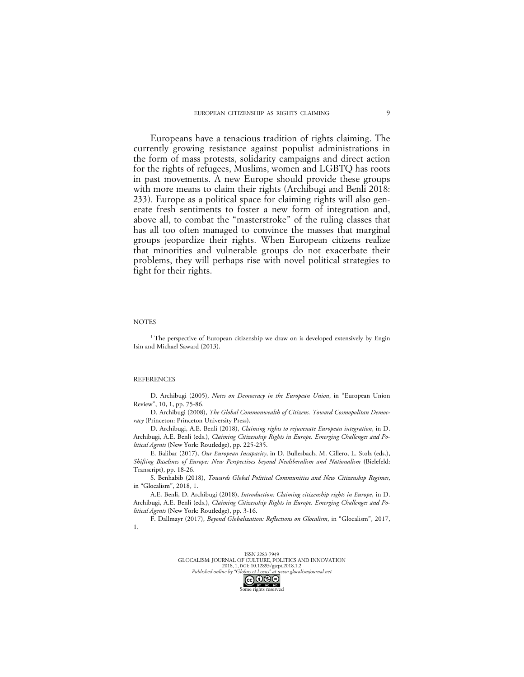Europeans have a tenacious tradition of rights claiming. The currently growing resistance against populist administrations in the form of mass protests, solidarity campaigns and direct action for the rights of refugees, Muslims, women and LGBTQ has roots in past movements. A new Europe should provide these groups with more means to claim their rights (Archibugi and Benli 2018: 233). Europe as a political space for claiming rights will also generate fresh sentiments to foster a new form of integration and, above all, to combat the "masterstroke" of the ruling classes that has all too often managed to convince the masses that marginal groups jeopardize their rights. When European citizens realize that minorities and vulnerable groups do not exacerbate their problems, they will perhaps rise with novel political strategies to fight for their rights.

## **NOTES**

<sup>1</sup> The perspective of European citizenship we draw on is developed extensively by Engin Isin and Michael Saward (2013).

## **REFERENCES**

D. Archibugi (2005), *Notes on Democracy in the European Union*, in "European Union Review", 10, 1, pp. 75-86.

D. Archibugi (2008), *The Global Commonwealth of Citizens. Toward Cosmopolitan Democracy* (Princeton: Princeton University Press).

D. Archibugi, A.E. Benli (2018), *Claiming rights to rejuvenate European integration*, in D. Archibugi, A.E. Benli (eds.), *Claiming Citizenship Rights in Europe. Emerging Challenges and Political Agents* (New York: Routledge), pp. 225-235.

E. Balibar (2017), *Our European Incapacity*, in D. Bullesbach, M. Cillero, L. Stolz (eds.), *Shifting Baselines of Europe: New Perspectives beyond Neoliberalism and Nationalism* (Bielefeld: Transcript), pp. 18-26.

S. Benhabib (2018), *Towards Global Political Communities and New Citizenship Regimes*, in "Glocalism", 2018, 1.

A.E. Benli, D. Archibugi (2018), *Introduction: Claiming citizenship rights in Europe*, in D. Archibugi, A.E. Benli (eds.), *Claiming Citizenship Rights in Europe. Emerging Challenges and Political Agents* (New York: Routledge), pp. 3-16.

F. Dallmayr (2017), *Beyond Globalization: Reflections on Glocalism*, in "Glocalism", 2017, 1.